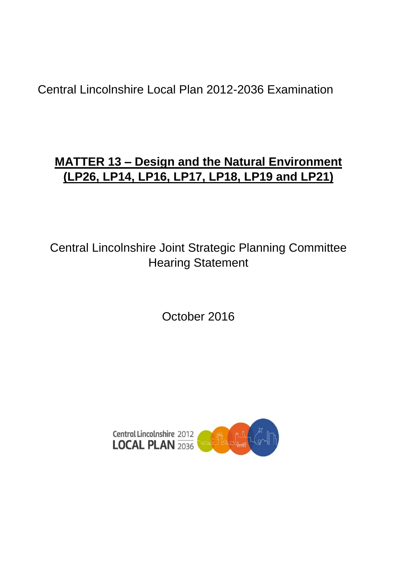Central Lincolnshire Local Plan 2012-2036 Examination

# **MATTER 13 – Design and the Natural Environment (LP26, LP14, LP16, LP17, LP18, LP19 and LP21)**

Central Lincolnshire Joint Strategic Planning Committee Hearing Statement

October 2016

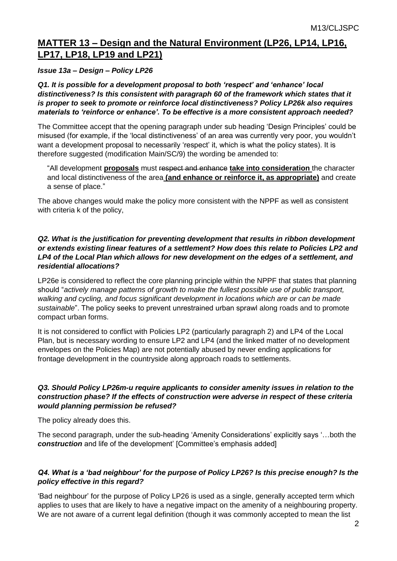# **MATTER 13 – Design and the Natural Environment (LP26, LP14, LP16, LP17, LP18, LP19 and LP21)**

*Issue 13a – Design – Policy LP26*

*Q1. It is possible for a development proposal to both 'respect' and 'enhance' local distinctiveness? Is this consistent with paragraph 60 of the framework which states that it is proper to seek to promote or reinforce local distinctiveness? Policy LP26k also requires materials to 'reinforce or enhance'. To be effective is a more consistent approach needed?*

The Committee accept that the opening paragraph under sub heading 'Design Principles' could be misused (for example, if the 'local distinctiveness' of an area was currently very poor, you wouldn't want a development proposal to necessarily 'respect' it, which is what the policy states). It is therefore suggested (modification Main/SC/9) the wording be amended to:

"All development **proposals** must respect and enhance **take into consideration** the character and local distinctiveness of the area **(and enhance or reinforce it, as appropriate)** and create a sense of place."

The above changes would make the policy more consistent with the NPPF as well as consistent with criteria k of the policy,

# *Q2. What is the justification for preventing development that results in ribbon development or extends existing linear features of a settlement? How does this relate to Policies LP2 and LP4 of the Local Plan which allows for new development on the edges of a settlement, and residential allocations?*

LP26e is considered to reflect the core planning principle within the NPPF that states that planning should "*actively manage patterns of growth to make the fullest possible use of public transport, walking and cycling, and focus significant development in locations which are or can be made sustainable*". The policy seeks to prevent unrestrained urban sprawl along roads and to promote compact urban forms.

It is not considered to conflict with Policies LP2 (particularly paragraph 2) and LP4 of the Local Plan, but is necessary wording to ensure LP2 and LP4 (and the linked matter of no development envelopes on the Policies Map) are not potentially abused by never ending applications for frontage development in the countryside along approach roads to settlements.

# *Q3. Should Policy LP26m-u require applicants to consider amenity issues in relation to the construction phase? If the effects of construction were adverse in respect of these criteria would planning permission be refused?*

The policy already does this.

The second paragraph, under the sub-heading 'Amenity Considerations' explicitly says '…both the *construction* and life of the development' [Committee's emphasis added]

# *Q4. What is a 'bad neighbour' for the purpose of Policy LP26? Is this precise enough? Is the policy effective in this regard?*

'Bad neighbour' for the purpose of Policy LP26 is used as a single, generally accepted term which applies to uses that are likely to have a negative impact on the amenity of a neighbouring property. We are not aware of a current legal definition (though it was commonly accepted to mean the list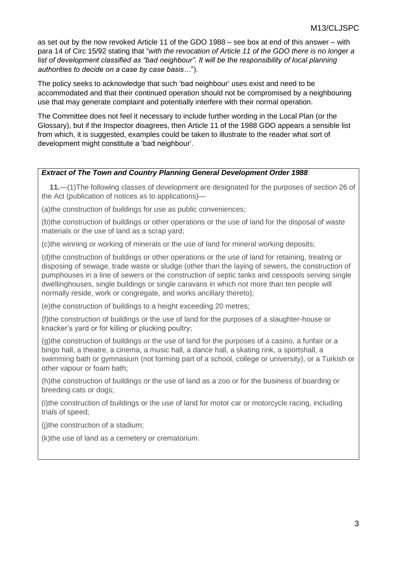as set out by the now revoked Article 11 of the GDO 1988 – see box at end of this answer – with para 14 of Circ 15/92 stating that "*with the revocation of Article 11 of the GDO there is no longer a list of development classified as "bad neighbour". It will be the responsibility of local planning authorities to decide on a case by case basis…*").

The policy seeks to acknowledge that such 'bad neighbour' uses exist and need to be accommodated and that their continued operation should not be compromised by a neighbouring use that may generate complaint and potentially interfere with their normal operation.

The Committee does not feel it necessary to include further wording in the Local Plan (or the Glossary), but if the Inspector disagrees, then Article 11 of the 1988 GDO appears a sensible list from which, it is suggested, examples could be taken to illustrate to the reader what sort of development might constitute a 'bad neighbour'.

# *Extract of The Town and Country Planning General Development Order 1988*

**11.**—(1)The following classes of development are designated for the purposes of section 26 of the Act (publication of notices as to applications)—

(a)the construction of buildings for use as public conveniences;

(b)the construction of buildings or other operations or the use of land for the disposal of waste materials or the use of land as a scrap yard;

(c)the winning or working of minerals or the use of land for mineral working deposits;

(d)the construction of buildings or other operations or the use of land for retaining, treating or disposing of sewage, trade waste or sludge (other than the laying of sewers, the construction of pumphouses in a line of sewers or the construction of septic tanks and cesspools serving single dwellinghouses, single buildings or single caravans in which not more than ten people will normally reside, work or congregate, and works ancillary thereto);

(e)the construction of buildings to a height exceeding 20 metres;

(f)the construction of buildings or the use of land for the purposes of a slaughter-house or knacker's yard or for killing or plucking poultry;

(g)the construction of buildings or the use of land for the purposes of a casino, a funfair or a bingo hall, a theatre, a cinema, a music hall, a dance hall, a skating rink, a sportshall, a swimming bath or gymnasium (not forming part of a school, college or university), or a Turkish or other vapour or foam bath;

(h)the construction of buildings or the use of land as a zoo or for the business of boarding or breeding cats or dogs;

(i)the construction of buildings or the use of land for motor car or motorcycle racing, including trials of speed;

(j)the construction of a stadium;

(k)the use of land as a cemetery or crematorium.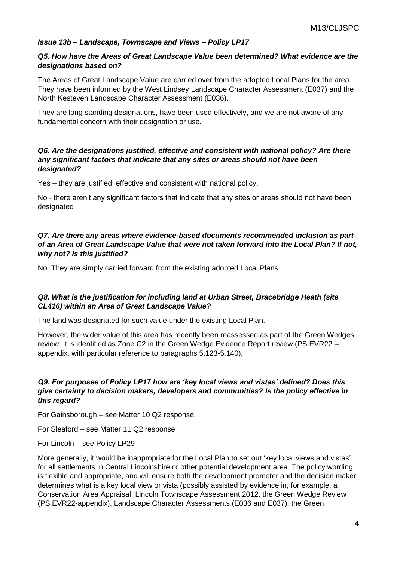# *Issue 13b – Landscape, Townscape and Views – Policy LP17*

#### *Q5. How have the Areas of Great Landscape Value been determined? What evidence are the designations based on?*

The Areas of Great Landscape Value are carried over from the adopted Local Plans for the area. They have been informed by the West Lindsey Landscape Character Assessment (E037) and the North Kesteven Landscape Character Assessment (E036).

They are long standing designations, have been used effectively, and we are not aware of any fundamental concern with their designation or use.

#### *Q6. Are the designations justified, effective and consistent with national policy? Are there any significant factors that indicate that any sites or areas should not have been designated?*

Yes – they are justified, effective and consistent with national policy.

No - there aren't any significant factors that indicate that any sites or areas should not have been designated

#### *Q7. Are there any areas where evidence-based documents recommended inclusion as part of an Area of Great Landscape Value that were not taken forward into the Local Plan? If not, why not? Is this justified?*

No. They are simply carried forward from the existing adopted Local Plans.

#### *Q8. What is the justification for including land at Urban Street, Bracebridge Heath (site CL416) within an Area of Great Landscape Value?*

The land was designated for such value under the existing Local Plan.

However, the wider value of this area has recently been reassessed as part of the Green Wedges review. It is identified as Zone C2 in the Green Wedge Evidence Report review (PS.EVR22 – appendix, with particular reference to paragraphs 5.123-5.140).

# *Q9. For purposes of Policy LP17 how are 'key local views and vistas' defined? Does this give certainty to decision makers, developers and communities? Is the policy effective in this regard?*

For Gainsborough – see Matter 10 Q2 response.

For Sleaford – see Matter 11 Q2 response

For Lincoln – see Policy LP29

More generally, it would be inappropriate for the Local Plan to set out 'key local views and vistas' for all settlements in Central Lincolnshire or other potential development area. The policy wording is flexible and appropriate, and will ensure both the development promoter and the decision maker determines what is a key local view or vista (possibly assisted by evidence in, for example, a Conservation Area Appraisal, Lincoln Townscape Assessment 2012, the Green Wedge Review (PS.EVR22-appendix), Landscape Character Assessments (E036 and E037), the Green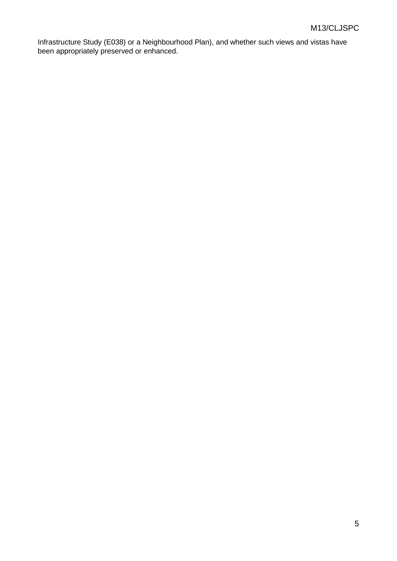Infrastructure Study (E038) or a Neighbourhood Plan), and whether such views and vistas have been appropriately preserved or enhanced.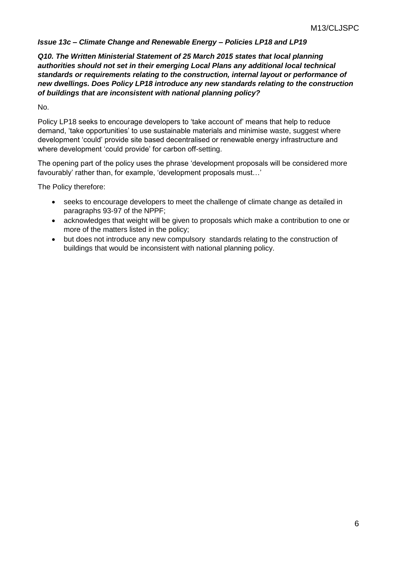# *Issue 13c – Climate Change and Renewable Energy – Policies LP18 and LP19*

*Q10. The Written Ministerial Statement of 25 March 2015 states that local planning authorities should not set in their emerging Local Plans any additional local technical standards or requirements relating to the construction, internal layout or performance of new dwellings. Does Policy LP18 introduce any new standards relating to the construction of buildings that are inconsistent with national planning policy?*

No.

Policy LP18 seeks to encourage developers to 'take account of' means that help to reduce demand, 'take opportunities' to use sustainable materials and minimise waste, suggest where development 'could' provide site based decentralised or renewable energy infrastructure and where development 'could provide' for carbon off-setting.

The opening part of the policy uses the phrase 'development proposals will be considered more favourably' rather than, for example, 'development proposals must…'

The Policy therefore:

- seeks to encourage developers to meet the challenge of climate change as detailed in paragraphs 93-97 of the NPPF;
- acknowledges that weight will be given to proposals which make a contribution to one or more of the matters listed in the policy;
- but does not introduce any new compulsory standards relating to the construction of buildings that would be inconsistent with national planning policy.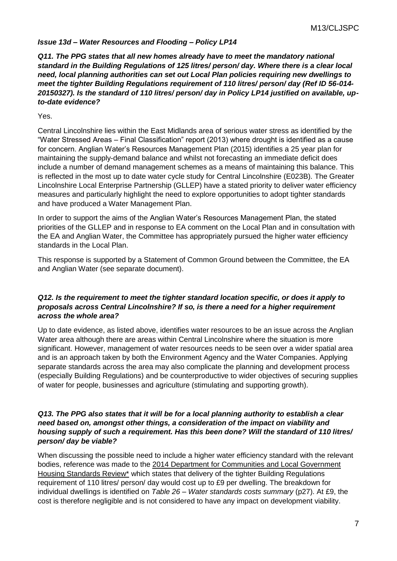#### *Issue 13d – Water Resources and Flooding – Policy LP14*

*Q11. The PPG states that all new homes already have to meet the mandatory national standard in the Building Regulations of 125 litres/ person/ day. Where there is a clear local need, local planning authorities can set out Local Plan policies requiring new dwellings to meet the tighter Building Regulations requirement of 110 litres/ person/ day (Ref ID 56-014- 20150327). Is the standard of 110 litres/ person/ day in Policy LP14 justified on available, upto-date evidence?*

Yes.

Central Lincolnshire lies within the East Midlands area of serious water stress as identified by the "Water Stressed Areas – Final Classification" report (2013) where drought is identified as a cause for concern. Anglian Water's Resources Management Plan (2015) identifies a 25 year plan for maintaining the supply-demand balance and whilst not forecasting an immediate deficit does include a number of demand management schemes as a means of maintaining this balance. This is reflected in the most up to date water cycle study for Central Lincolnshire (E023B). The Greater Lincolnshire Local Enterprise Partnership (GLLEP) have a stated priority to deliver water efficiency measures and particularly highlight the need to explore opportunities to adopt tighter standards and have produced a Water Management Plan.

In order to support the aims of the Anglian Water's Resources Management Plan, the stated priorities of the GLLEP and in response to EA comment on the Local Plan and in consultation with the EA and Anglian Water, the Committee has appropriately pursued the higher water efficiency standards in the Local Plan.

This response is supported by a Statement of Common Ground between the Committee, the EA and Anglian Water (see separate document).

# *Q12. Is the requirement to meet the tighter standard location specific, or does it apply to proposals across Central Lincolnshire? If so, is there a need for a higher requirement across the whole area?*

Up to date evidence, as listed above, identifies water resources to be an issue across the Anglian Water area although there are areas within Central Lincolnshire where the situation is more significant. However, management of water resources needs to be seen over a wider spatial area and is an approach taken by both the Environment Agency and the Water Companies. Applying separate standards across the area may also complicate the planning and development process (especially Building Regulations) and be counterproductive to wider objectives of securing supplies of water for people, businesses and agriculture (stimulating and supporting growth).

# *Q13. The PPG also states that it will be for a local planning authority to establish a clear need based on, amongst other things, a consideration of the impact on viability and housing supply of such a requirement. Has this been done? Will the standard of 110 litres/ person/ day be viable?*

When discussing the possible need to include a higher water efficiency standard with the relevant bodies, reference was made to the [2014 Department for Communities and Local Government](https://www.gov.uk/government/uploads/system/uploads/attachment_data/file/353387/021c_Cost_Report_11th_Sept_2014_FINAL.pdf)  [Housing Standards Review\\*](https://www.gov.uk/government/uploads/system/uploads/attachment_data/file/353387/021c_Cost_Report_11th_Sept_2014_FINAL.pdf) which states that delivery of the tighter Building Regulations requirement of 110 litres/ person/ day would cost up to £9 per dwelling. The breakdown for individual dwellings is identified on *Table 26 – Water standards costs summary* (p27). At £9, the cost is therefore negligible and is not considered to have any impact on development viability.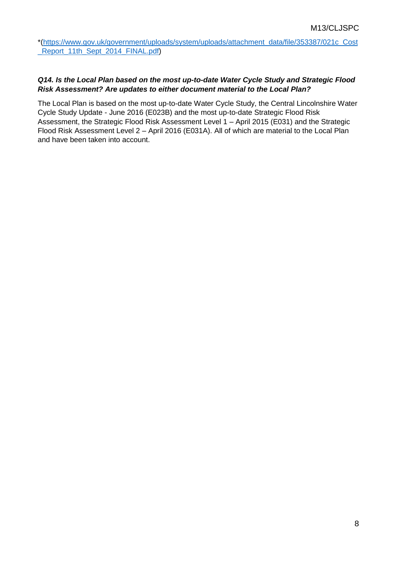\*[\(https://www.gov.uk/government/uploads/system/uploads/attachment\\_data/file/353387/021c\\_Cost](https://www.gov.uk/government/uploads/system/uploads/attachment_data/file/353387/021c_Cost_Report_11th_Sept_2014_FINAL.pdf) [\\_Report\\_11th\\_Sept\\_2014\\_FINAL.pdf\)](https://www.gov.uk/government/uploads/system/uploads/attachment_data/file/353387/021c_Cost_Report_11th_Sept_2014_FINAL.pdf)

# *Q14. Is the Local Plan based on the most up-to-date Water Cycle Study and Strategic Flood Risk Assessment? Are updates to either document material to the Local Plan?*

The Local Plan is based on the most up-to-date Water Cycle Study, the Central Lincolnshire Water Cycle Study Update - June 2016 (E023B) and the most up-to-date Strategic Flood Risk Assessment, the Strategic Flood Risk Assessment Level 1 – April 2015 (E031) and the Strategic Flood Risk Assessment Level 2 – April 2016 (E031A). All of which are material to the Local Plan and have been taken into account.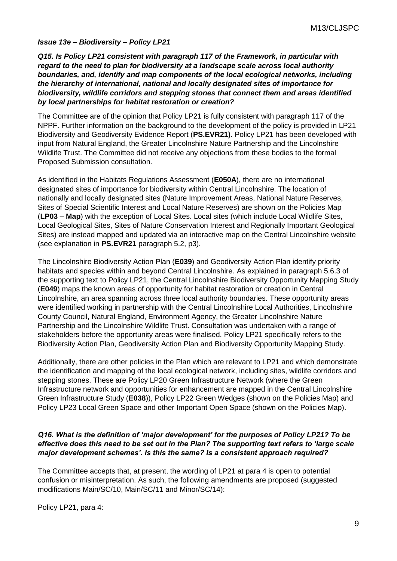#### *Issue 13e – Biodiversity – Policy LP21*

*Q15. Is Policy LP21 consistent with paragraph 117 of the Framework, in particular with regard to the need to plan for biodiversity at a landscape scale across local authority boundaries, and, identify and map components of the local ecological networks, including the hierarchy of international, national and locally designated sites of importance for biodiversity, wildlife corridors and stepping stones that connect them and areas identified by local partnerships for habitat restoration or creation?*

The Committee are of the opinion that Policy LP21 is fully consistent with paragraph 117 of the NPPF. Further information on the background to the development of the policy is provided in LP21 Biodiversity and Geodiversity Evidence Report (**PS.EVR21)**. Policy LP21 has been developed with input from Natural England, the Greater Lincolnshire Nature Partnership and the Lincolnshire Wildlife Trust. The Committee did not receive any objections from these bodies to the formal Proposed Submission consultation.

As identified in the Habitats Regulations Assessment (**E050A**), there are no international designated sites of importance for biodiversity within Central Lincolnshire. The location of nationally and locally designated sites (Nature Improvement Areas, National Nature Reserves, Sites of Special Scientific Interest and Local Nature Reserves) are shown on the Policies Map (**LP03 – Map**) with the exception of Local Sites. Local sites (which include Local Wildlife Sites, Local Geological Sites, Sites of Nature Conservation Interest and Regionally Important Geological Sites) are instead mapped and updated via an interactive map on the Central Lincolnshire website (see explanation in **PS.EVR21** paragraph 5.2, p3).

The Lincolnshire Biodiversity Action Plan (**E039**) and Geodiversity Action Plan identify priority habitats and species within and beyond Central Lincolnshire. As explained in paragraph 5.6.3 of the supporting text to Policy LP21, the Central Lincolnshire Biodiversity Opportunity Mapping Study (**E049**) maps the known areas of opportunity for habitat restoration or creation in Central Lincolnshire, an area spanning across three local authority boundaries. These opportunity areas were identified working in partnership with the Central Lincolnshire Local Authorities, Lincolnshire County Council, Natural England, Environment Agency, the Greater Lincolnshire Nature Partnership and the Lincolnshire Wildlife Trust. Consultation was undertaken with a range of stakeholders before the opportunity areas were finalised. Policy LP21 specifically refers to the Biodiversity Action Plan, Geodiversity Action Plan and Biodiversity Opportunity Mapping Study.

Additionally, there are other policies in the Plan which are relevant to LP21 and which demonstrate the identification and mapping of the local ecological network, including sites, wildlife corridors and stepping stones. These are Policy LP20 Green Infrastructure Network (where the Green Infrastructure network and opportunities for enhancement are mapped in the Central Lincolnshire Green Infrastructure Study (**E038**)), Policy LP22 Green Wedges (shown on the Policies Map) and Policy LP23 Local Green Space and other Important Open Space (shown on the Policies Map).

# *Q16. What is the definition of 'major development' for the purposes of Policy LP21? To be effective does this need to be set out in the Plan? The supporting text refers to 'large scale major development schemes'. Is this the same? Is a consistent approach required?*

The Committee accepts that, at present, the wording of LP21 at para 4 is open to potential confusion or misinterpretation. As such, the following amendments are proposed (suggested modifications Main/SC/10, Main/SC/11 and Minor/SC/14):

Policy LP21, para 4: